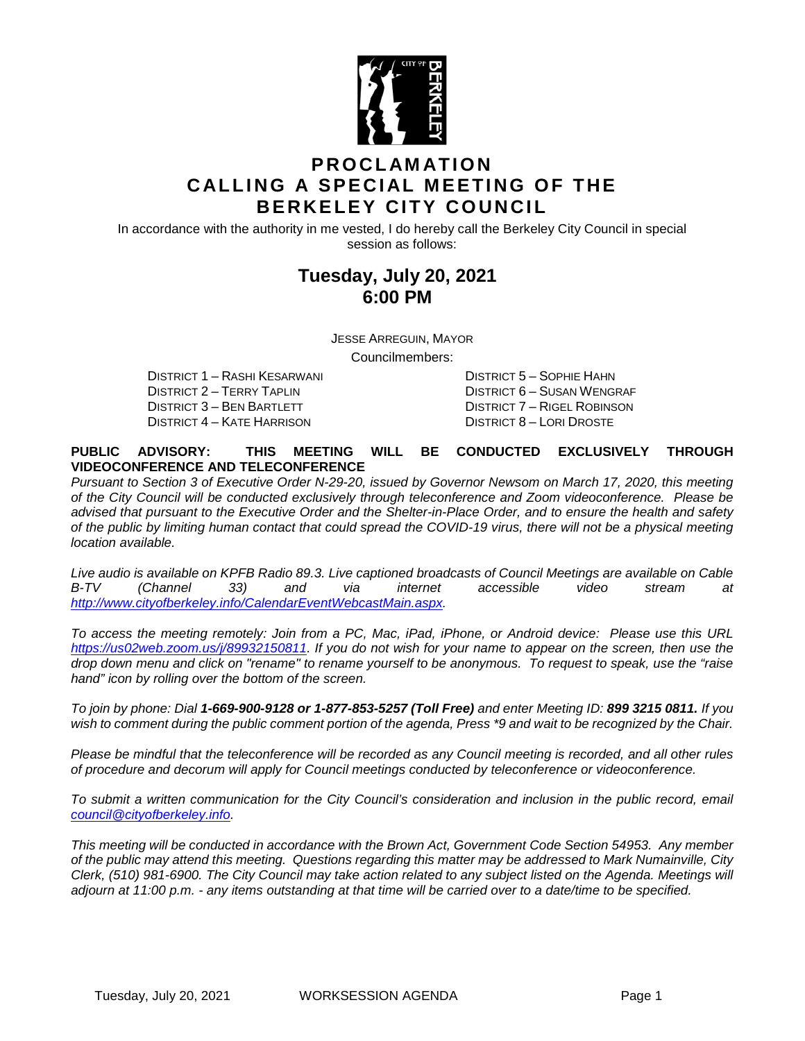

## **PROCLAMATION CALLING A SPECIAL MEETING OF THE BERKELEY CITY COUNCIL**

In accordance with the authority in me vested, I do hereby call the Berkeley City Council in special session as follows:

## **Tuesday, July 20, 2021 6:00 PM**

JESSE ARREGUIN, MAYOR

Councilmembers:

DISTRICT 2 – TERRY TAPLIN DISTRICT 6 – SUSAN WENGRAF DISTRICT 3 – BEN BARTLETT DISTRICT 7 – RIGEL ROBINSON<br>DISTRICT 4 – KATE HARRISON DISTRICT 8 – LORI DROSTE DISTRICT 4 – KATE HARRISON

DISTRICT 1 – RASHI KESARWANI DISTRICT 5 – SOPHIE HAHN

#### **PUBLIC ADVISORY: THIS MEETING WILL BE CONDUCTED EXCLUSIVELY THROUGH VIDEOCONFERENCE AND TELECONFERENCE**

*Pursuant to Section 3 of Executive Order N-29-20, issued by Governor Newsom on March 17, 2020, this meeting of the City Council will be conducted exclusively through teleconference and Zoom videoconference. Please be advised that pursuant to the Executive Order and the Shelter-in-Place Order, and to ensure the health and safety of the public by limiting human contact that could spread the COVID-19 virus, there will not be a physical meeting location available.* 

*Live audio is available on KPFB Radio 89.3. Live captioned broadcasts of Council Meetings are available on Cable B-TV (Channel 33) and via internet accessible video stream at [http://www.cityofberkeley.info/CalendarEventWebcastMain.aspx.](http://www.cityofberkeley.info/CalendarEventWebcastMain.aspx)*

*To access the meeting remotely: Join from a PC, Mac, iPad, iPhone, or Android device: Please use this URL [https://us02web.zoom.us/j/89932150811.](https://us02web.zoom.us/j/89932150811) If you do not wish for your name to appear on the screen, then use the drop down menu and click on "rename" to rename yourself to be anonymous. To request to speak, use the "raise hand" icon by rolling over the bottom of the screen.* 

*To join by phone: Dial 1-669-900-9128 or 1-877-853-5257 (Toll Free) and enter Meeting ID: 899 3215 0811. If you*  wish to comment during the public comment portion of the agenda, Press \*9 and wait to be recognized by the Chair.

*Please be mindful that the teleconference will be recorded as any Council meeting is recorded, and all other rules of procedure and decorum will apply for Council meetings conducted by teleconference or videoconference.*

To submit a written communication for the City Council's consideration and inclusion in the public record, email *[council@cityofberkeley.info.](mailto:council@cityofberkeley.info)*

*This meeting will be conducted in accordance with the Brown Act, Government Code Section 54953. Any member of the public may attend this meeting. Questions regarding this matter may be addressed to Mark Numainville, City Clerk, (510) 981-6900. The City Council may take action related to any subject listed on the Agenda. Meetings will adjourn at 11:00 p.m. - any items outstanding at that time will be carried over to a date/time to be specified.*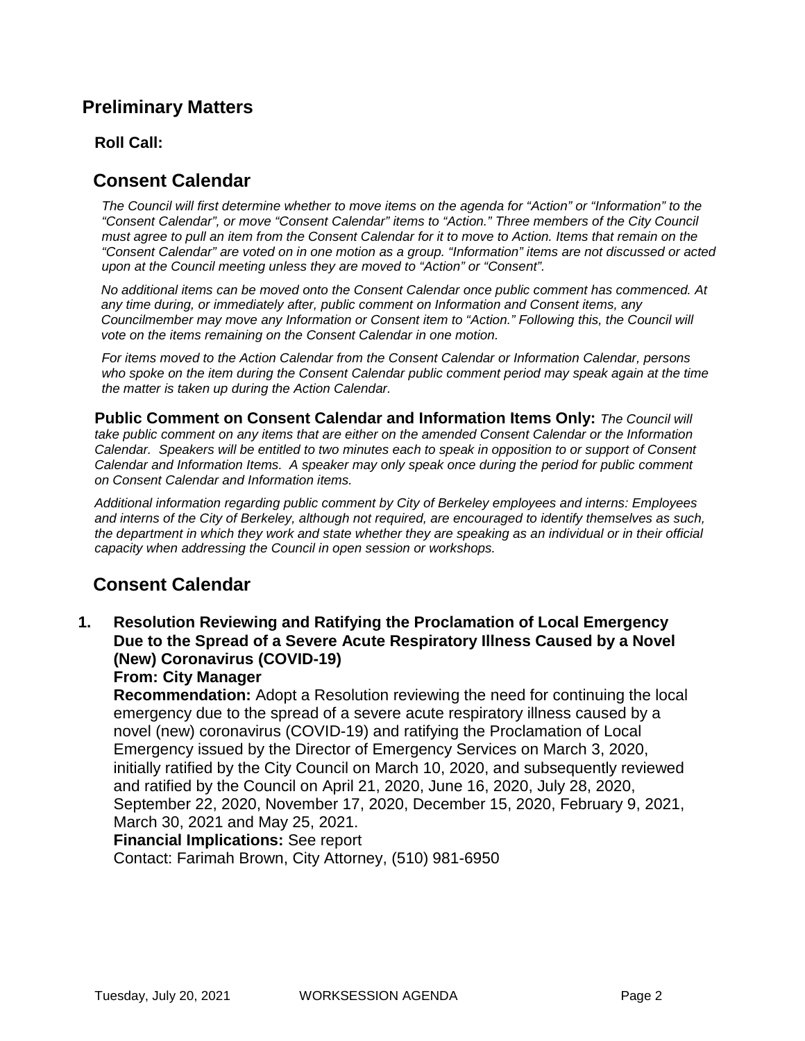# **Preliminary Matters**

## **Roll Call:**

# **Consent Calendar**

*The Council will first determine whether to move items on the agenda for "Action" or "Information" to the "Consent Calendar", or move "Consent Calendar" items to "Action." Three members of the City Council must agree to pull an item from the Consent Calendar for it to move to Action. Items that remain on the "Consent Calendar" are voted on in one motion as a group. "Information" items are not discussed or acted upon at the Council meeting unless they are moved to "Action" or "Consent".*

*No additional items can be moved onto the Consent Calendar once public comment has commenced. At any time during, or immediately after, public comment on Information and Consent items, any Councilmember may move any Information or Consent item to "Action." Following this, the Council will vote on the items remaining on the Consent Calendar in one motion.* 

*For items moved to the Action Calendar from the Consent Calendar or Information Calendar, persons*  who spoke on the item during the Consent Calendar public comment period may speak again at the time *the matter is taken up during the Action Calendar.*

**Public Comment on Consent Calendar and Information Items Only:** *The Council will*  take public comment on any items that are either on the amended Consent Calendar or the Information *Calendar. Speakers will be entitled to two minutes each to speak in opposition to or support of Consent Calendar and Information Items. A speaker may only speak once during the period for public comment on Consent Calendar and Information items.*

*Additional information regarding public comment by City of Berkeley employees and interns: Employees and interns of the City of Berkeley, although not required, are encouraged to identify themselves as such, the department in which they work and state whether they are speaking as an individual or in their official capacity when addressing the Council in open session or workshops.*

# **Consent Calendar**

**1. Resolution Reviewing and Ratifying the Proclamation of Local Emergency Due to the Spread of a Severe Acute Respiratory Illness Caused by a Novel (New) Coronavirus (COVID-19)**

## **From: City Manager**

**Recommendation:** Adopt a Resolution reviewing the need for continuing the local emergency due to the spread of a severe acute respiratory illness caused by a novel (new) coronavirus (COVID-19) and ratifying the Proclamation of Local Emergency issued by the Director of Emergency Services on March 3, 2020, initially ratified by the City Council on March 10, 2020, and subsequently reviewed and ratified by the Council on April 21, 2020, June 16, 2020, July 28, 2020, September 22, 2020, November 17, 2020, December 15, 2020, February 9, 2021, March 30, 2021 and May 25, 2021.

### **Financial Implications:** See report

Contact: Farimah Brown, City Attorney, (510) 981-6950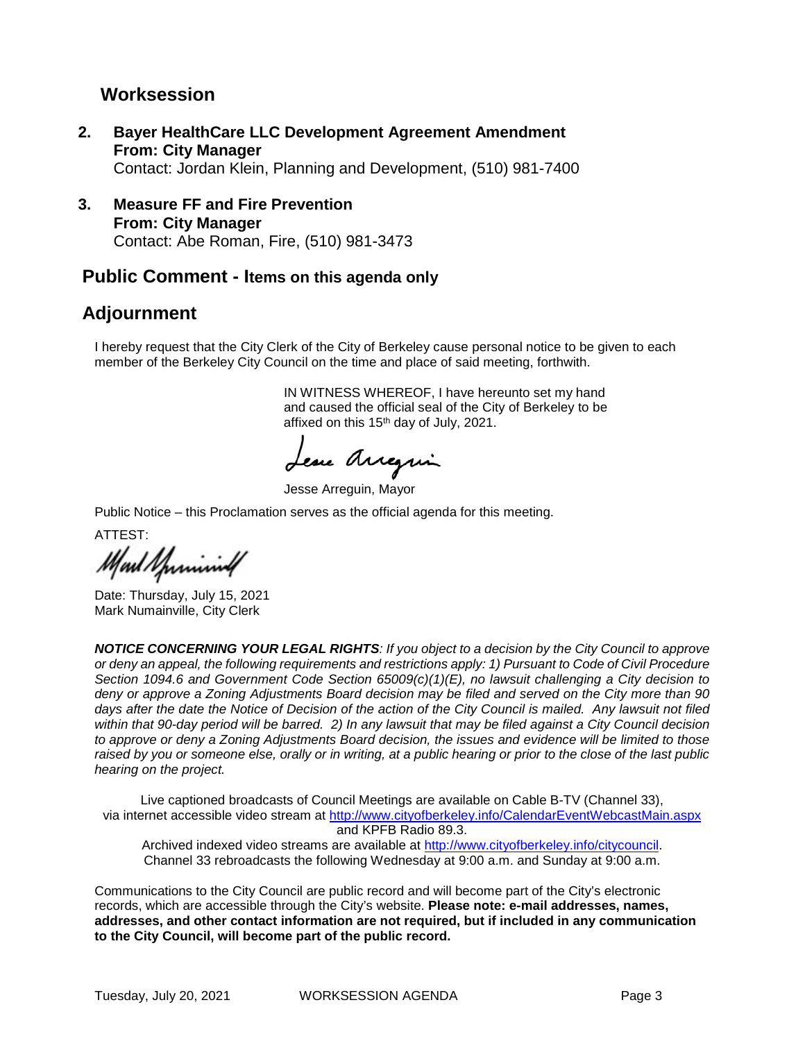## **Worksession**

- **2. Bayer HealthCare LLC Development Agreement Amendment From: City Manager** Contact: Jordan Klein, Planning and Development, (510) 981-7400
- **3. Measure FF and Fire Prevention From: City Manager** Contact: Abe Roman, Fire, (510) 981-3473

## **Public Comment - Items on this agenda only**

# **Adjournment**

I hereby request that the City Clerk of the City of Berkeley cause personal notice to be given to each member of the Berkeley City Council on the time and place of said meeting, forthwith.

> IN WITNESS WHEREOF, I have hereunto set my hand and caused the official seal of the City of Berkeley to be affixed on this 15th day of July, 2021.

Lesse Arregain

Jesse Arreguin, Mayor

Public Notice – this Proclamation serves as the official agenda for this meeting.

ATTEST:

Mart Sprining

Date: Thursday, July 15, 2021 Mark Numainville, City Clerk

*NOTICE CONCERNING YOUR LEGAL RIGHTS: If you object to a decision by the City Council to approve or deny an appeal, the following requirements and restrictions apply: 1) Pursuant to Code of Civil Procedure Section 1094.6 and Government Code Section 65009(c)(1)(E), no lawsuit challenging a City decision to deny or approve a Zoning Adjustments Board decision may be filed and served on the City more than 90 days after the date the Notice of Decision of the action of the City Council is mailed. Any lawsuit not filed within that 90-day period will be barred. 2) In any lawsuit that may be filed against a City Council decision to approve or deny a Zoning Adjustments Board decision, the issues and evidence will be limited to those raised by you or someone else, orally or in writing, at a public hearing or prior to the close of the last public hearing on the project.*

Live captioned broadcasts of Council Meetings are available on Cable B-TV (Channel 33), via internet accessible video stream at<http://www.cityofberkeley.info/CalendarEventWebcastMain.aspx> and KPFB Radio 89.3. Archived indexed video streams are available at [http://www.cityofberkeley.info/citycouncil.](http://www.cityofberkeley.info/citycouncil)

Channel 33 rebroadcasts the following Wednesday at 9:00 a.m. and Sunday at 9:00 a.m.

Communications to the City Council are public record and will become part of the City's electronic records, which are accessible through the City's website. **Please note: e-mail addresses, names, addresses, and other contact information are not required, but if included in any communication to the City Council, will become part of the public record.**